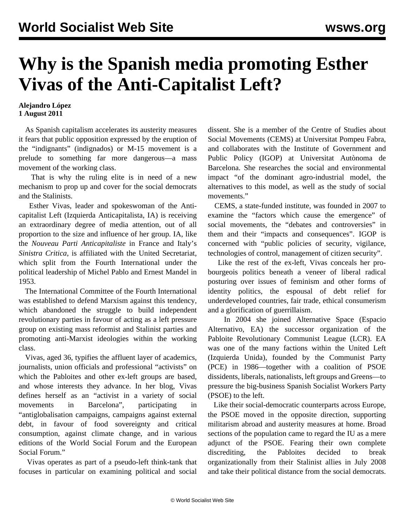## **Why is the Spanish media promoting Esther Vivas of the Anti-Capitalist Left?**

## **Alejandro López 1 August 2011**

 As Spanish capitalism accelerates its austerity measures it fears that public opposition expressed by the eruption of the "indignants" (indignados) or M-15 movement is a prelude to something far more dangerous—a mass movement of the working class.

 That is why the ruling elite is in need of a new mechanism to prop up and cover for the social democrats and the Stalinists.

 Esther Vivas, leader and spokeswoman of the Anticapitalist Left (Izquierda Anticapitalista, IA) is receiving an extraordinary degree of media attention, out of all proportion to the size and influence of her group. IA, like the *Nouveau Parti Anticapitaliste* in France and Italy's *Sinistra Critica*, is affiliated with the United Secretariat, which split from the Fourth International under the political leadership of Michel Pablo and Ernest Mandel in 1953.

 The International Committee of the Fourth International was established to defend Marxism against this tendency, which abandoned the struggle to build independent revolutionary parties in favour of acting as a left pressure group on existing mass reformist and Stalinist parties and promoting anti-Marxist ideologies within the working class.

 Vivas, aged 36, typifies the affluent layer of academics, journalists, union officials and professional "activists" on which the Pabloites and other ex-left groups are based, and whose interests they advance. In her blog, Vivas defines herself as an "activist in a variety of social movements in Barcelona", participating in "antiglobalisation campaigns, campaigns against external debt, in favour of food sovereignty and critical consumption, against climate change, and in various editions of the World Social Forum and the European Social Forum."

 Vivas operates as part of a pseudo-left think-tank that focuses in particular on examining political and social

dissent. She is a member of the Centre of Studies about Social Movements (CEMS) at Universitat Pompeu Fabra, and collaborates with the Institute of Government and Public Policy (IGOP) at Universitat Autònoma de Barcelona. She researches the social and environmental impact "of the dominant agro-industrial model, the alternatives to this model, as well as the study of social movements."

 CEMS, a state-funded institute, was founded in 2007 to examine the "factors which cause the emergence" of social movements, the "debates and controversies" in them and their "impacts and consequences". IGOP is concerned with "public policies of security, vigilance, technologies of control, management of citizen security".

 Like the rest of the ex-left, Vivas conceals her probourgeois politics beneath a veneer of liberal radical posturing over issues of feminism and other forms of identity politics, the espousal of debt relief for underdeveloped countries, fair trade, ethical consumerism and a glorification of guerrillaism.

 In 2004 she joined Alternative Space (Espacio Alternativo, EA) the successor organization of the Pabloite Revolutionary Communist League (LCR). EA was one of the many factions within the United Left (Izquierda Unida), founded by the Communist Party (PCE) in 1986—together with a coalition of PSOE dissidents, liberals, nationalists, left groups and Greens—to pressure the big-business Spanish Socialist Workers Party (PSOE) to the left.

 Like their social-democratic counterparts across Europe, the PSOE moved in the opposite direction, supporting militarism abroad and austerity measures at home. Broad sections of the population came to regard the IU as a mere adjunct of the PSOE. Fearing their own complete discrediting, the Pabloites decided to break organizationally from their Stalinist allies in July 2008 and take their political distance from the social democrats.